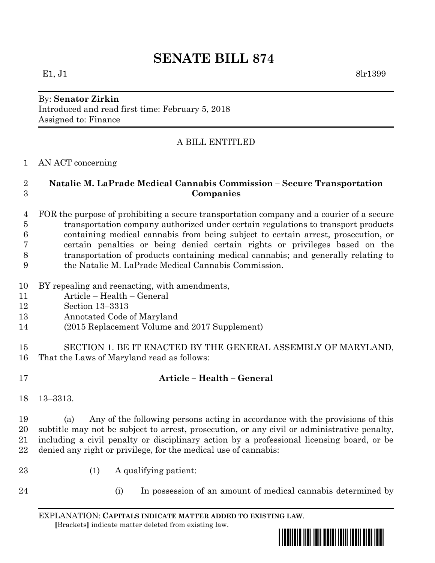# **SENATE BILL 874**

### By: **Senator Zirkin** Introduced and read first time: February 5, 2018 Assigned to: Finance

## A BILL ENTITLED

AN ACT concerning

#### **Natalie M. LaPrade Medical Cannabis Commission – Secure Transportation Companies**

 FOR the purpose of prohibiting a secure transportation company and a courier of a secure transportation company authorized under certain regulations to transport products containing medical cannabis from being subject to certain arrest, prosecution, or certain penalties or being denied certain rights or privileges based on the transportation of products containing medical cannabis; and generally relating to the Natalie M. LaPrade Medical Cannabis Commission.

- BY repealing and reenacting, with amendments,
- Article Health General
- Section 13–3313
- Annotated Code of Maryland
- (2015 Replacement Volume and 2017 Supplement)
- SECTION 1. BE IT ENACTED BY THE GENERAL ASSEMBLY OF MARYLAND, That the Laws of Maryland read as follows:
- 

## **Article – Health – General**

13–3313.

 (a) Any of the following persons acting in accordance with the provisions of this subtitle may not be subject to arrest, prosecution, or any civil or administrative penalty, including a civil penalty or disciplinary action by a professional licensing board, or be denied any right or privilege, for the medical use of cannabis:

- 23 (1) A qualifying patient:
- 
- (i) In possession of an amount of medical cannabis determined by

EXPLANATION: **CAPITALS INDICATE MATTER ADDED TO EXISTING LAW**.  **[**Brackets**]** indicate matter deleted from existing law.